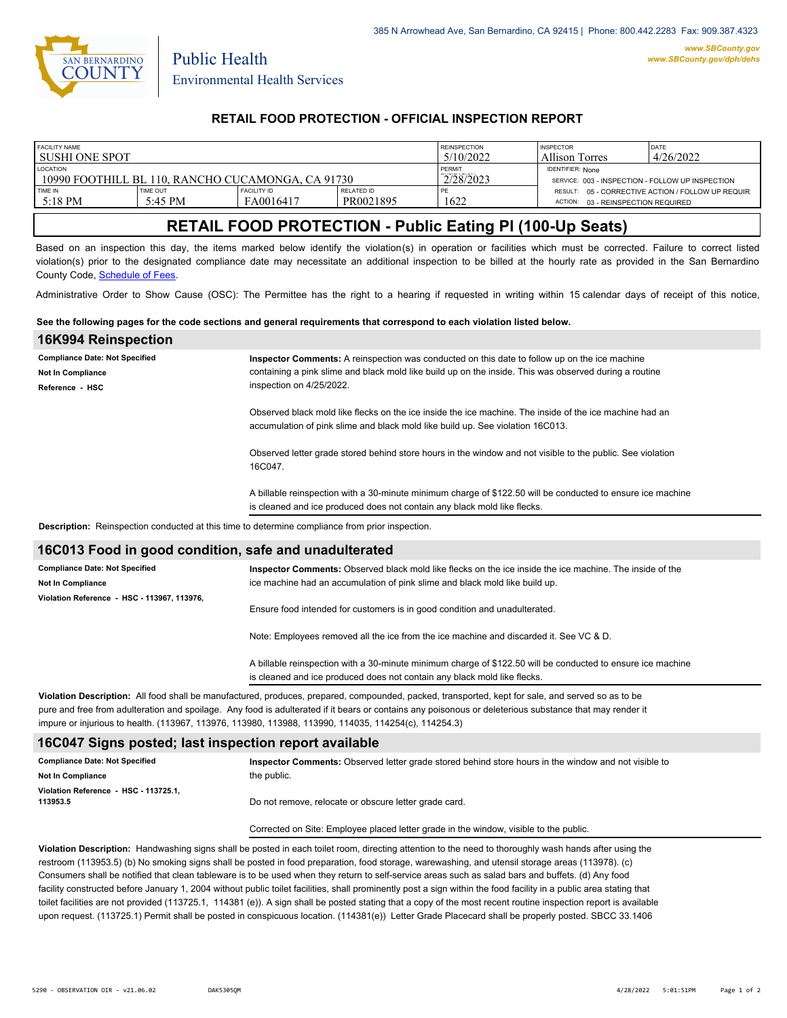

Public Health

## **RETAIL FOOD PROTECTION - OFFICIAL INSPECTION REPORT**

| FACILITY NAME                                     |                 |                    | <b>REINSPECTION</b> | <b>INSPECTOR</b>        | DATE                                             |                                                   |
|---------------------------------------------------|-----------------|--------------------|---------------------|-------------------------|--------------------------------------------------|---------------------------------------------------|
| l sushi one spot                                  |                 |                    | 5/10/2022           | Allison Torres          | 4/26/2022                                        |                                                   |
| <b>LOCATION</b>                                   |                 |                    | PERMIT              | <b>IDENTIFIER: None</b> |                                                  |                                                   |
| 10990 FOOTHILL BL 110, RANCHO CUCAMONGA, CA 91730 |                 |                    |                     | 2/28/2023               | SERVICE: 003 - INSPECTION - FOLLOW UP INSPECTION |                                                   |
| TIME IN                                           | <b>TIME OUT</b> | <b>FACILITY ID</b> | <b>RELATED ID</b>   |                         |                                                  | RESULT: 05 - CORRECTIVE ACTION / FOLLOW UP REQUIR |
| $-5:18$ PM                                        | 5:45 PM         | FA0016417          | PR0021895           | 1622                    | 03 - REINSPECTION REQUIRED<br>ACTION:            |                                                   |
|                                                   |                 |                    |                     |                         |                                                  |                                                   |

# **RETAIL FOOD PROTECTION - Public Eating Pl (100-Up Seats)**

Based on an inspection this day, the items marked below identify the violation(s) in operation or facilities which must be corrected. Failure to correct listed violation(s) prior to the designated compliance date may necessitate an additional inspection to be billed at the hourly rate as provided in the San Bernardino County Code, Schedule of Fees.

Administrative Order to Show Cause (OSC): The Permittee has the right to a hearing if requested in writing within 15 calendar days of receipt of this notice,

#### **See the following pages for the code sections and general requirements that correspond to each violation listed below.**

| 16K994 Reinspection                                                                             |                                                                                                                                                                                                                                                                                                         |  |  |  |  |
|-------------------------------------------------------------------------------------------------|---------------------------------------------------------------------------------------------------------------------------------------------------------------------------------------------------------------------------------------------------------------------------------------------------------|--|--|--|--|
| <b>Compliance Date: Not Specified</b>                                                           | Inspector Comments: A reinspection was conducted on this date to follow up on the ice machine                                                                                                                                                                                                           |  |  |  |  |
| Not In Compliance                                                                               | containing a pink slime and black mold like build up on the inside. This was observed during a routine                                                                                                                                                                                                  |  |  |  |  |
| Reference - HSC                                                                                 | inspection on 4/25/2022.                                                                                                                                                                                                                                                                                |  |  |  |  |
|                                                                                                 | Observed black mold like flecks on the ice inside the ice machine. The inside of the ice machine had an<br>accumulation of pink slime and black mold like build up. See violation 16C013.<br>Observed letter grade stored behind store hours in the window and not visible to the public. See violation |  |  |  |  |
|                                                                                                 | 16C047.                                                                                                                                                                                                                                                                                                 |  |  |  |  |
|                                                                                                 | A billable reinspection with a 30-minute minimum charge of \$122.50 will be conducted to ensure ice machine<br>is cleaned and ice produced does not contain any black mold like flecks.                                                                                                                 |  |  |  |  |
| Description: Reinspection conducted at this time to determine compliance from prior inspection. |                                                                                                                                                                                                                                                                                                         |  |  |  |  |
| 16C013 Food in good condition, safe and unadulterated                                           |                                                                                                                                                                                                                                                                                                         |  |  |  |  |
| <b>Compliance Date: Not Specified</b>                                                           | Inspector Comments: Observed black mold like flecks on the ice inside the ice machine. The inside of the                                                                                                                                                                                                |  |  |  |  |
|                                                                                                 | to a complete a tradition of a consentation of with alternational triangle of a filter teacher of the                                                                                                                                                                                                   |  |  |  |  |

| <b>Not In Compliance</b>                    | ice machine had an accumulation of pink slime and black mold like build up.                                                                                                                                                                                                                               |  |
|---------------------------------------------|-----------------------------------------------------------------------------------------------------------------------------------------------------------------------------------------------------------------------------------------------------------------------------------------------------------|--|
| Violation Reference - HSC - 113967, 113976, |                                                                                                                                                                                                                                                                                                           |  |
|                                             | Ensure food intended for customers is in good condition and unadulterated.                                                                                                                                                                                                                                |  |
|                                             | Note: Employees removed all the ice from the ice machine and discarded it. See VC & D.                                                                                                                                                                                                                    |  |
|                                             | A billable reinspection with a 30-minute minimum charge of \$122.50 will be conducted to ensure ice machine                                                                                                                                                                                               |  |
|                                             | is cleaned and ice produced does not contain any black mold like flecks.<br>AP . In Property March 2012 and the companies of securities are considered to the differential books of the distribution of the books of the second to the books of the second to the books of the second to the books of the |  |

**Violation Description:** All food shall be manufactured, produces, prepared, compounded, packed, transported, kept for sale, and served so as to be pure and free from adulteration and spoilage. Any food is adulterated if it bears or contains any poisonous or deleterious substance that may render it impure or injurious to health. (113967, 113976, 113980, 113988, 113990, 114035, 114254(c), 114254.3)

## **16C047 Signs posted; last inspection report available**

| <b>Compliance Date: Not Specified</b>             | Inspector Comments: Observed letter grade stored behind store hours in the window and not visible to |
|---------------------------------------------------|------------------------------------------------------------------------------------------------------|
| Not In Compliance                                 | the public.                                                                                          |
| Violation Reference - HSC - 113725.1.<br>113953.5 | Do not remove, relocate or obscure letter grade card.                                                |

Corrected on Site: Employee placed letter grade in the window, visible to the public.

**Violation Description:** Handwashing signs shall be posted in each toilet room, directing attention to the need to thoroughly wash hands after using the restroom (113953.5) (b) No smoking signs shall be posted in food preparation, food storage, warewashing, and utensil storage areas (113978). (c) Consumers shall be notified that clean tableware is to be used when they return to self-service areas such as salad bars and buffets. (d) Any food facility constructed before January 1, 2004 without public toilet facilities, shall prominently post a sign within the food facility in a public area stating that toilet facilities are not provided (113725.1, 114381 (e)). A sign shall be posted stating that a copy of the most recent routine inspection report is available upon request. (113725.1) Permit shall be posted in conspicuous location. (114381(e)) Letter Grade Placecard shall be properly posted. SBCC 33.1406